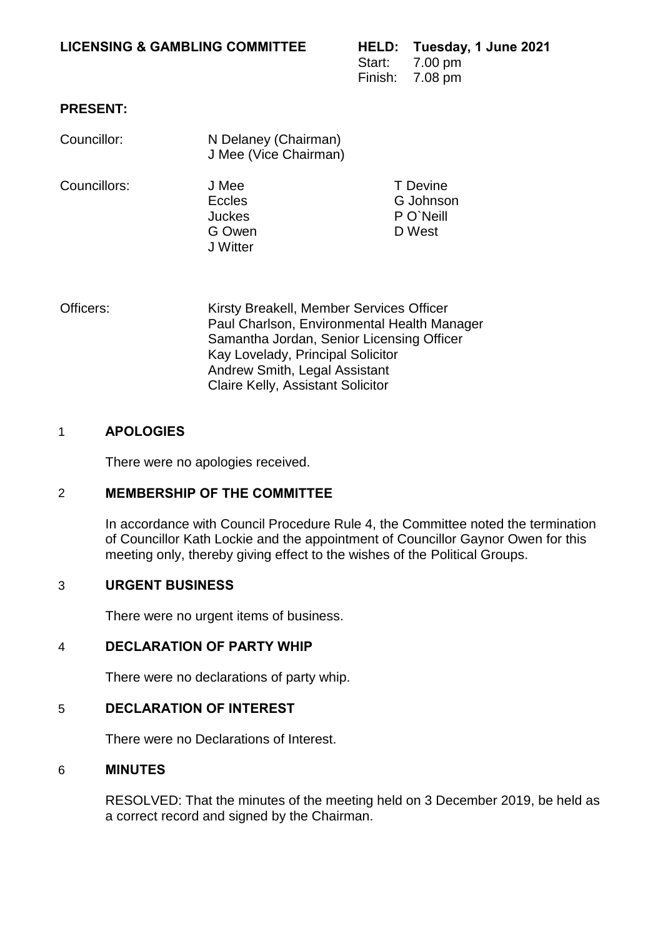### **LICENSING & GAMBLING COMMITTEE**

|        | HELD: Tuesday, 1 June 2021 |
|--------|----------------------------|
| Start: | 7.00 pm                    |
|        | Finish: 7.08 pm            |

T Devine

## **PRESENT:**

| Councillor:  | N Delaney (Chairman)<br>J Mee (Vice Chairman) |
|--------------|-----------------------------------------------|
| Councillors: | J Mee<br><b>Eccles</b>                        |

- G Johnson Juckes P O`Neill G Owen D West J Witter
- Officers: Kirsty Breakell, Member Services Officer Paul Charlson, Environmental Health Manager Samantha Jordan, Senior Licensing Officer Kay Lovelady, Principal Solicitor Andrew Smith, Legal Assistant Claire Kelly, Assistant Solicitor

### 1 **APOLOGIES**

There were no apologies received.

# 2 **MEMBERSHIP OF THE COMMITTEE**

In accordance with Council Procedure Rule 4, the Committee noted the termination of Councillor Kath Lockie and the appointment of Councillor Gaynor Owen for this meeting only, thereby giving effect to the wishes of the Political Groups.

# 3 **URGENT BUSINESS**

There were no urgent items of business.

## 4 **DECLARATION OF PARTY WHIP**

There were no declarations of party whip.

#### 5 **DECLARATION OF INTEREST**

There were no Declarations of Interest.

#### 6 **MINUTES**

RESOLVED: That the minutes of the meeting held on 3 December 2019, be held as a correct record and signed by the Chairman.